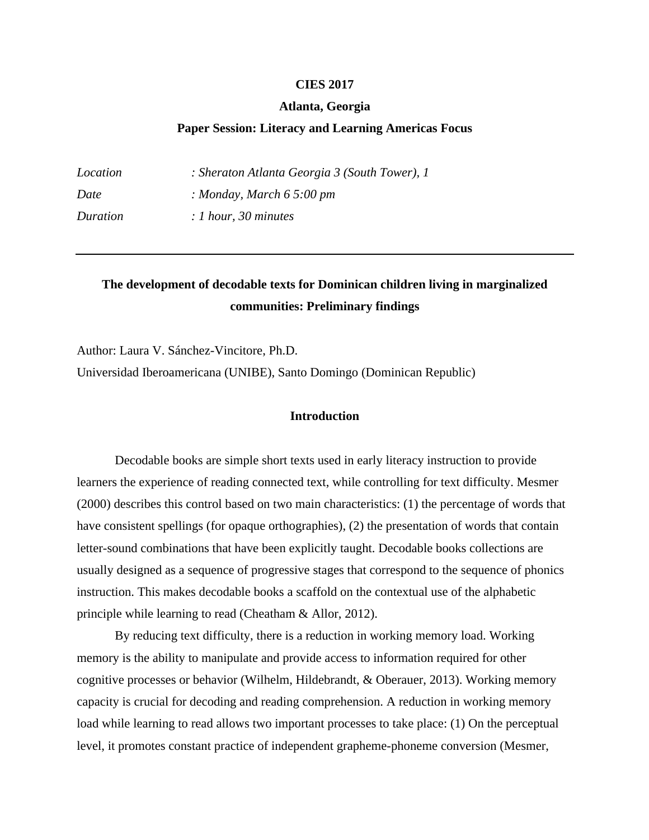## **CIES 2017**

## **Atlanta, Georgia**

# **Paper Session: Literacy and Learning Americas Focus**

| Location | : Sheraton Atlanta Georgia 3 (South Tower), 1 |
|----------|-----------------------------------------------|
| Date     | : Monday, March $65:00 \text{ pm}$            |
| Duration | $: 1$ hour, 30 minutes                        |

# **The development of decodable texts for Dominican children living in marginalized communities: Preliminary findings**

Author: Laura V. Sánchez-Vincitore, Ph.D.

Universidad Iberoamericana (UNIBE), Santo Domingo (Dominican Republic)

# **Introduction**

Decodable books are simple short texts used in early literacy instruction to provide learners the experience of reading connected text, while controlling for text difficulty. Mesmer (2000) describes this control based on two main characteristics: (1) the percentage of words that have consistent spellings (for opaque orthographies), (2) the presentation of words that contain letter-sound combinations that have been explicitly taught. Decodable books collections are usually designed as a sequence of progressive stages that correspond to the sequence of phonics instruction. This makes decodable books a scaffold on the contextual use of the alphabetic principle while learning to read (Cheatham & Allor, 2012).

By reducing text difficulty, there is a reduction in working memory load. Working memory is the ability to manipulate and provide access to information required for other cognitive processes or behavior (Wilhelm, Hildebrandt, & Oberauer, 2013). Working memory capacity is crucial for decoding and reading comprehension. A reduction in working memory load while learning to read allows two important processes to take place: (1) On the perceptual level, it promotes constant practice of independent grapheme-phoneme conversion (Mesmer,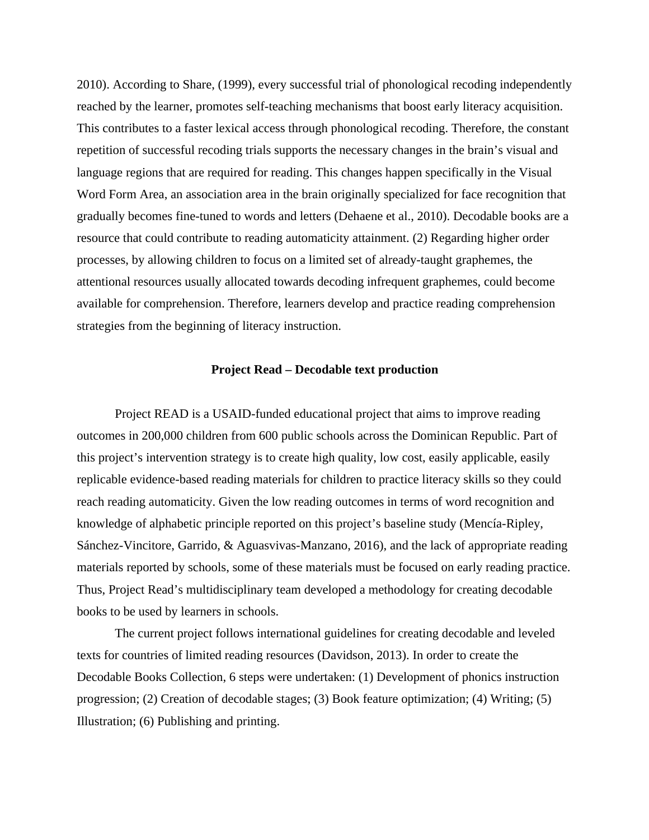2010). According to Share, (1999), every successful trial of phonological recoding independently reached by the learner, promotes self-teaching mechanisms that boost early literacy acquisition. This contributes to a faster lexical access through phonological recoding. Therefore, the constant repetition of successful recoding trials supports the necessary changes in the brain's visual and language regions that are required for reading. This changes happen specifically in the Visual Word Form Area, an association area in the brain originally specialized for face recognition that gradually becomes fine-tuned to words and letters (Dehaene et al., 2010). Decodable books are a resource that could contribute to reading automaticity attainment. (2) Regarding higher order processes, by allowing children to focus on a limited set of already-taught graphemes, the attentional resources usually allocated towards decoding infrequent graphemes, could become available for comprehension. Therefore, learners develop and practice reading comprehension strategies from the beginning of literacy instruction.

## **Project Read – Decodable text production**

Project READ is a USAID-funded educational project that aims to improve reading outcomes in 200,000 children from 600 public schools across the Dominican Republic. Part of this project's intervention strategy is to create high quality, low cost, easily applicable, easily replicable evidence-based reading materials for children to practice literacy skills so they could reach reading automaticity. Given the low reading outcomes in terms of word recognition and knowledge of alphabetic principle reported on this project's baseline study (Mencía-Ripley, Sánchez-Vincitore, Garrido, & Aguasvivas-Manzano, 2016), and the lack of appropriate reading materials reported by schools, some of these materials must be focused on early reading practice. Thus, Project Read's multidisciplinary team developed a methodology for creating decodable books to be used by learners in schools.

The current project follows international guidelines for creating decodable and leveled texts for countries of limited reading resources (Davidson, 2013). In order to create the Decodable Books Collection, 6 steps were undertaken: (1) Development of phonics instruction progression; (2) Creation of decodable stages; (3) Book feature optimization; (4) Writing; (5) Illustration; (6) Publishing and printing.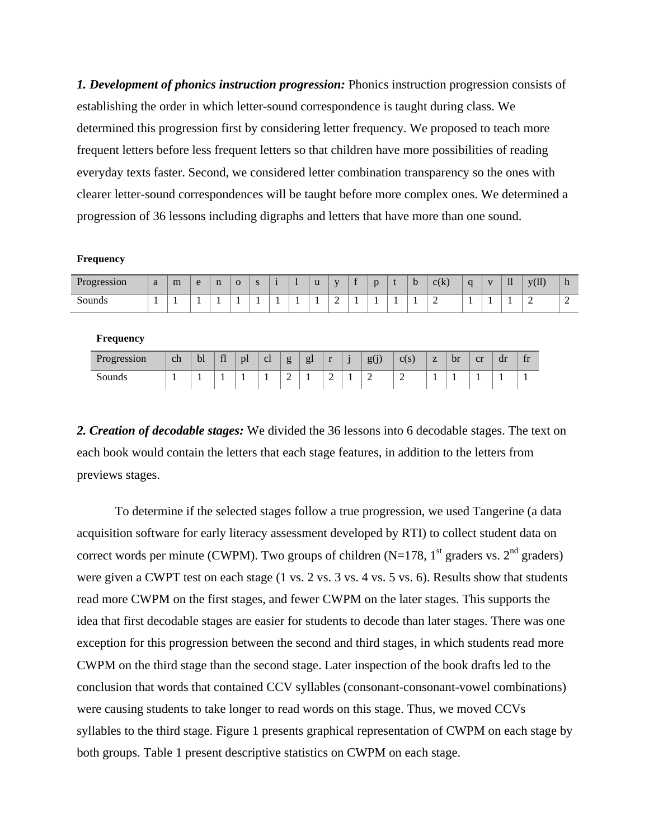*1. Development of phonics instruction progression:* Phonics instruction progression consists of establishing the order in which letter-sound correspondence is taught during class. We determined this progression first by considering letter frequency. We proposed to teach more frequent letters before less frequent letters so that children have more possibilities of reading everyday texts faster. Second, we considered letter combination transparency so the ones with clearer letter-sound correspondences will be taught before more complex ones. We determined a progression of 36 lessons including digraphs and letters that have more than one sound.

#### **Frequency**

| $\sqrt{ }$<br><b>Progression</b> | a  | m | e | $\mathbf n$ | $\Omega$ | $\epsilon$<br>- 5 |  | u | <b>TT</b> | $\sim$ | $\overline{ }$<br>$\overline{\phantom{a}}$ | D | c(k) | $\alpha$ | T | $\mathbf{1}$ | (11)<br><b>TT</b> | $\mathbf{H}$ |
|----------------------------------|----|---|---|-------------|----------|-------------------|--|---|-----------|--------|--------------------------------------------|---|------|----------|---|--------------|-------------------|--------------|
| Sounds                           | л. |   |   | . .         |          | л.                |  |   | -<br>∸    |        |                                            |   | -    | . .      |   |              | -                 |              |

#### **Frequency**

| Progression | ch | bl | fl | DI | <sub>c</sub> | $\sigma$<br>c | gl | - - | $\bullet$ | 2.91<br>$\sigma$<br>5V | $C_{\rm C}$<br>U(3) | $\sim$ | br | cr | dr | $+ v$<br> |
|-------------|----|----|----|----|--------------|---------------|----|-----|-----------|------------------------|---------------------|--------|----|----|----|-----------|
| Sounds      |    |    |    |    |              | -             |    | -   |           |                        | -<br>—              |        |    |    |    |           |

*2. Creation of decodable stages:* We divided the 36 lessons into 6 decodable stages. The text on each book would contain the letters that each stage features, in addition to the letters from previews stages.

To determine if the selected stages follow a true progression, we used Tangerine (a data acquisition software for early literacy assessment developed by RTI) to collect student data on correct words per minute (CWPM). Two groups of children (N=178, 1<sup>st</sup> graders vs.  $2<sup>nd</sup>$  graders) were given a CWPT test on each stage (1 vs. 2 vs. 3 vs. 4 vs. 5 vs. 6). Results show that students read more CWPM on the first stages, and fewer CWPM on the later stages. This supports the idea that first decodable stages are easier for students to decode than later stages. There was one exception for this progression between the second and third stages, in which students read more CWPM on the third stage than the second stage. Later inspection of the book drafts led to the conclusion that words that contained CCV syllables (consonant-consonant-vowel combinations) were causing students to take longer to read words on this stage. Thus, we moved CCVs syllables to the third stage. Figure 1 presents graphical representation of CWPM on each stage by both groups. Table 1 present descriptive statistics on CWPM on each stage.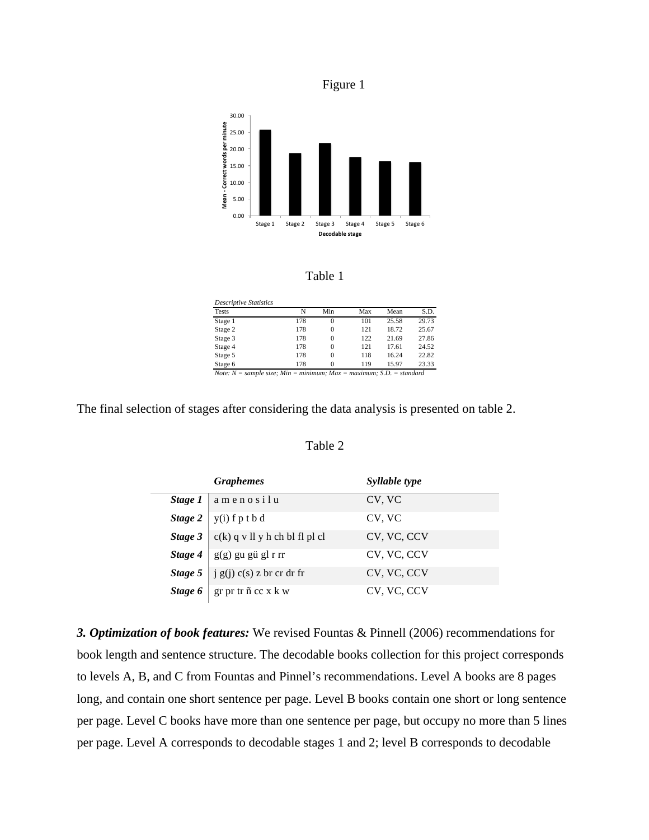





| <b>Descriptive Statistics</b>                                          |     |          |     |       |       |
|------------------------------------------------------------------------|-----|----------|-----|-------|-------|
| <b>Tests</b>                                                           | N   | Min      | Max | Mean  | S.D.  |
| Stage 1                                                                | 178 | 0        | 101 | 25.58 | 29.73 |
| Stage 2                                                                | 178 | 0        | 121 | 18.72 | 25.67 |
| Stage 3                                                                | 178 | 0        | 122 | 21.69 | 27.86 |
| Stage 4                                                                | 178 | 0        | 121 | 17.61 | 24.52 |
| Stage 5                                                                | 178 | $\Omega$ | 118 | 16.24 | 22.82 |
| Stage 6                                                                | 178 | $\Omega$ | 119 | 15.97 | 23.33 |
| Note: $N = sample$ size; Min = minimum; Max = maximum; S.D. = standard |     |          |     |       |       |

The final selection of stages after considering the data analysis is presented on table 2.

# Table 2

|         | <b>Graphemes</b>                 | Syllable type |
|---------|----------------------------------|---------------|
| Stage 1 | amenosilu                        | CV, VC        |
| Stage 2 | $y(i)$ f p t b d                 | CV, VC        |
| Stage 3 | $c(k)$ q v ll y h ch bl fl pl cl | CV, VC, CCV   |
| Stage 4 | g(g) gu gü gl r rr               | CV, VC, CCV   |
| Stage 5 | $\int$ j g(j) c(s) z br cr dr fr | CV, VC, CCV   |
| Stage 6 | $gr$ pr tr $ñ$ cc $x$ $k$ $w$    | CV, VC, CCV   |

*3. Optimization of book features:* We revised Fountas & Pinnell (2006) recommendations for book length and sentence structure. The decodable books collection for this project corresponds to levels A, B, and C from Fountas and Pinnel's recommendations. Level A books are 8 pages long, and contain one short sentence per page. Level B books contain one short or long sentence per page. Level C books have more than one sentence per page, but occupy no more than 5 lines per page. Level A corresponds to decodable stages 1 and 2; level B corresponds to decodable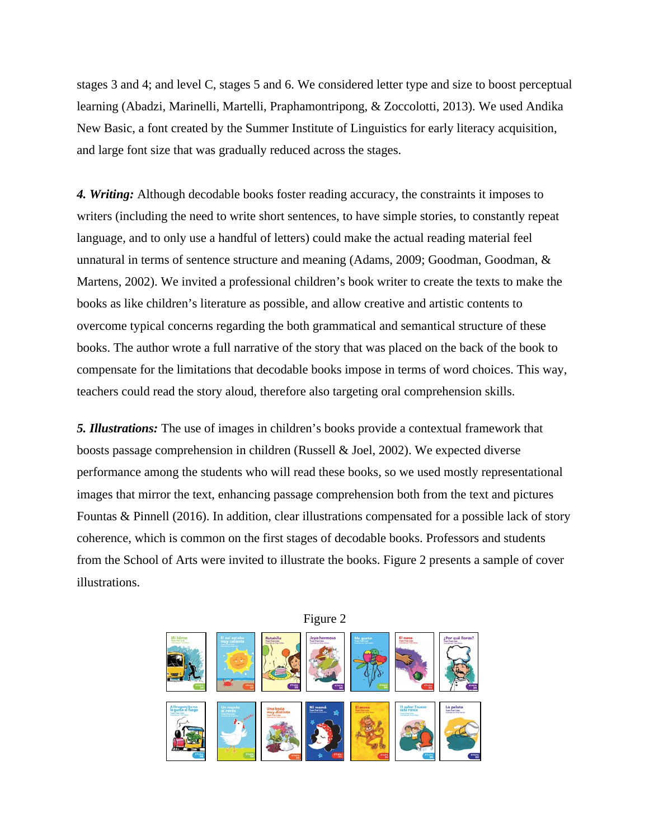stages 3 and 4; and level C, stages 5 and 6. We considered letter type and size to boost perceptual learning (Abadzi, Marinelli, Martelli, Praphamontripong, & Zoccolotti, 2013). We used Andika New Basic, a font created by the Summer Institute of Linguistics for early literacy acquisition, and large font size that was gradually reduced across the stages.

*4. Writing:* Although decodable books foster reading accuracy, the constraints it imposes to writers (including the need to write short sentences, to have simple stories, to constantly repeat language, and to only use a handful of letters) could make the actual reading material feel unnatural in terms of sentence structure and meaning (Adams, 2009; Goodman, Goodman, & Martens, 2002). We invited a professional children's book writer to create the texts to make the books as like children's literature as possible, and allow creative and artistic contents to overcome typical concerns regarding the both grammatical and semantical structure of these books. The author wrote a full narrative of the story that was placed on the back of the book to compensate for the limitations that decodable books impose in terms of word choices. This way, teachers could read the story aloud, therefore also targeting oral comprehension skills.

*5. Illustrations:* The use of images in children's books provide a contextual framework that boosts passage comprehension in children (Russell & Joel, 2002). We expected diverse performance among the students who will read these books, so we used mostly representational images that mirror the text, enhancing passage comprehension both from the text and pictures Fountas & Pinnell (2016). In addition, clear illustrations compensated for a possible lack of story coherence, which is common on the first stages of decodable books. Professors and students from the School of Arts were invited to illustrate the books. Figure 2 presents a sample of cover illustrations.



Figure 2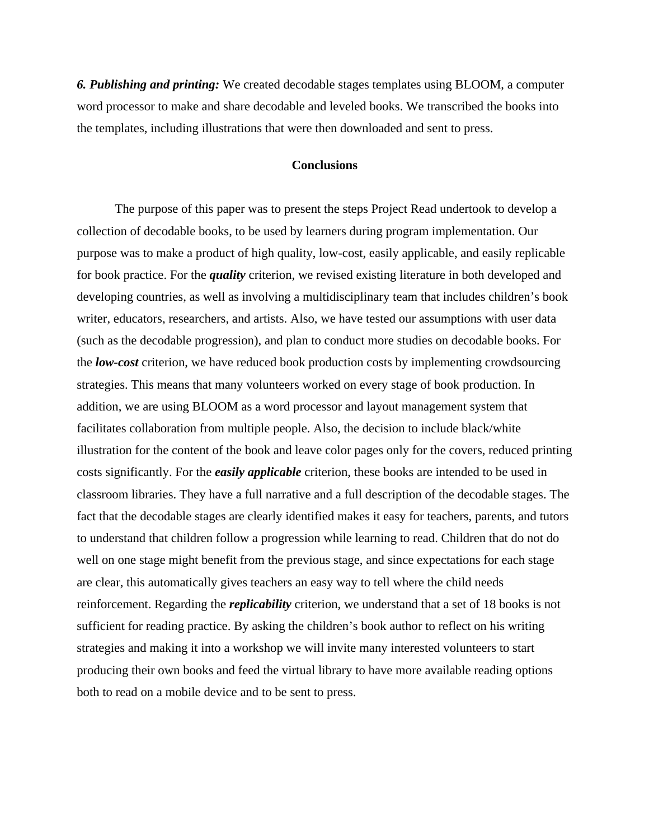*6. Publishing and printing:* We created decodable stages templates using BLOOM, a computer word processor to make and share decodable and leveled books. We transcribed the books into the templates, including illustrations that were then downloaded and sent to press.

## **Conclusions**

The purpose of this paper was to present the steps Project Read undertook to develop a collection of decodable books, to be used by learners during program implementation. Our purpose was to make a product of high quality, low-cost, easily applicable, and easily replicable for book practice. For the *quality* criterion, we revised existing literature in both developed and developing countries, as well as involving a multidisciplinary team that includes children's book writer, educators, researchers, and artists. Also, we have tested our assumptions with user data (such as the decodable progression), and plan to conduct more studies on decodable books. For the *low-cost* criterion, we have reduced book production costs by implementing crowdsourcing strategies. This means that many volunteers worked on every stage of book production. In addition, we are using BLOOM as a word processor and layout management system that facilitates collaboration from multiple people. Also, the decision to include black/white illustration for the content of the book and leave color pages only for the covers, reduced printing costs significantly. For the *easily applicable* criterion, these books are intended to be used in classroom libraries. They have a full narrative and a full description of the decodable stages. The fact that the decodable stages are clearly identified makes it easy for teachers, parents, and tutors to understand that children follow a progression while learning to read. Children that do not do well on one stage might benefit from the previous stage, and since expectations for each stage are clear, this automatically gives teachers an easy way to tell where the child needs reinforcement. Regarding the *replicability* criterion, we understand that a set of 18 books is not sufficient for reading practice. By asking the children's book author to reflect on his writing strategies and making it into a workshop we will invite many interested volunteers to start producing their own books and feed the virtual library to have more available reading options both to read on a mobile device and to be sent to press.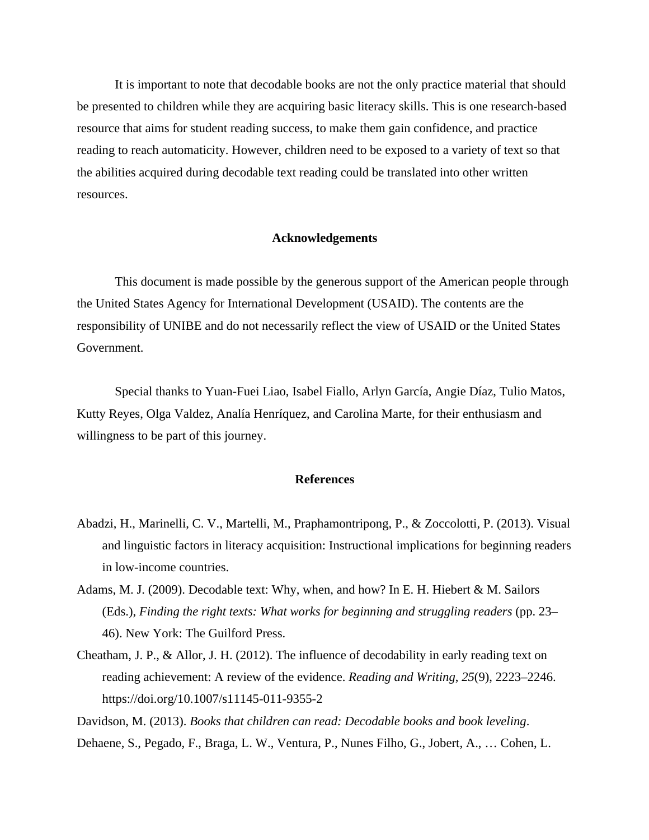It is important to note that decodable books are not the only practice material that should be presented to children while they are acquiring basic literacy skills. This is one research-based resource that aims for student reading success, to make them gain confidence, and practice reading to reach automaticity. However, children need to be exposed to a variety of text so that the abilities acquired during decodable text reading could be translated into other written resources.

## **Acknowledgements**

This document is made possible by the generous support of the American people through the United States Agency for International Development (USAID). The contents are the responsibility of UNIBE and do not necessarily reflect the view of USAID or the United States Government.

Special thanks to Yuan-Fuei Liao, Isabel Fiallo, Arlyn García, Angie Díaz, Tulio Matos, Kutty Reyes, Olga Valdez, Analía Henríquez, and Carolina Marte, for their enthusiasm and willingness to be part of this journey.

## **References**

- Abadzi, H., Marinelli, C. V., Martelli, M., Praphamontripong, P., & Zoccolotti, P. (2013). Visual and linguistic factors in literacy acquisition: Instructional implications for beginning readers in low-income countries.
- Adams, M. J. (2009). Decodable text: Why, when, and how? In E. H. Hiebert & M. Sailors (Eds.), *Finding the right texts: What works for beginning and struggling readers* (pp. 23– 46). New York: The Guilford Press.
- Cheatham, J. P., & Allor, J. H. (2012). The influence of decodability in early reading text on reading achievement: A review of the evidence. *Reading and Writing*, *25*(9), 2223–2246. https://doi.org/10.1007/s11145-011-9355-2

Davidson, M. (2013). *Books that children can read: Decodable books and book leveling*.

Dehaene, S., Pegado, F., Braga, L. W., Ventura, P., Nunes Filho, G., Jobert, A., … Cohen, L.